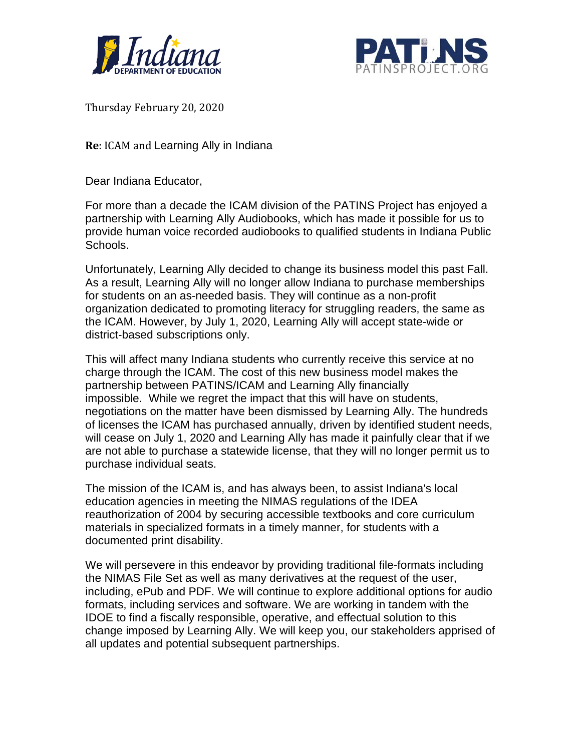



Thursday February 20, 2020

**Re**: ICAM and Learning Ally in Indiana

Dear Indiana Educator,

For more than a decade the ICAM division of the PATINS Project has enjoyed a partnership with Learning Ally Audiobooks, which has made it possible for us to provide human voice recorded audiobooks to qualified students in Indiana Public Schools.

Unfortunately, Learning Ally decided to change its business model this past Fall. As a result, Learning Ally will no longer allow Indiana to purchase memberships for students on an as-needed basis. They will continue as a non-profit organization dedicated to promoting literacy for struggling readers, the same as the ICAM. However, by July 1, 2020, Learning Ally will accept state-wide or district-based subscriptions only.

This will affect many Indiana students who currently receive this service at no charge through the ICAM. The cost of this new business model makes the partnership between PATINS/ICAM and Learning Ally financially impossible. While we regret the impact that this will have on students, negotiations on the matter have been dismissed by Learning Ally. The hundreds of licenses the ICAM has purchased annually, driven by identified student needs, will cease on July 1, 2020 and Learning Ally has made it painfully clear that if we are not able to purchase a statewide license, that they will no longer permit us to purchase individual seats.

The mission of the ICAM is, and has always been, to assist Indiana's local education agencies in meeting the NIMAS regulations of the IDEA reauthorization of 2004 by securing accessible textbooks and core curriculum materials in specialized formats in a timely manner, for students with a documented print disability.

We will persevere in this endeavor by providing traditional file-formats including the NIMAS File Set as well as many derivatives at the request of the user, including, ePub and PDF. We will continue to explore additional options for audio formats, including services and software. We are working in tandem with the IDOE to find a fiscally responsible, operative, and effectual solution to this change imposed by Learning Ally. We will keep you, our stakeholders apprised of all updates and potential subsequent partnerships.